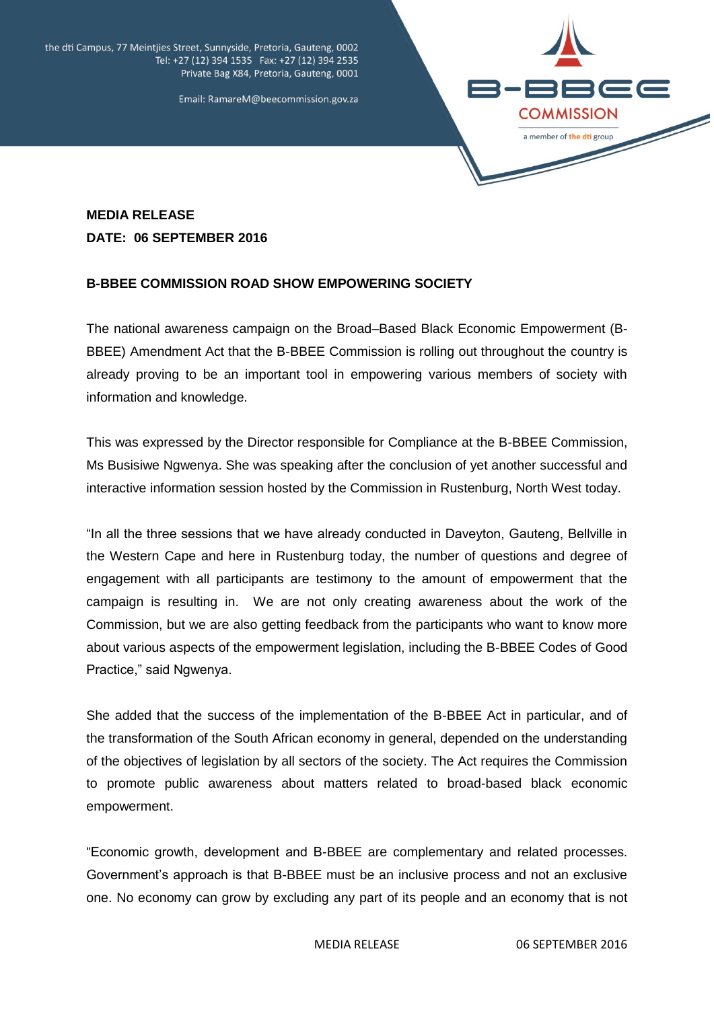the dti Campus, 77 Meintjies Street, Sunnyside, Pretoria, Gauteng, 0002 Tel: +27 (12) 394 1535 Fax: +27 (12) 394 2535 Private Bag X84, Pretoria, Gauteng, 0001





## **MEDIA RELEASE DATE: 06 SEPTEMBER 2016**

## **B-BBEE COMMISSION ROAD SHOW EMPOWERING SOCIETY**

The national awareness campaign on the Broad–Based Black Economic Empowerment (B-BBEE) Amendment Act that the B-BBEE Commission is rolling out throughout the country is already proving to be an important tool in empowering various members of society with information and knowledge.

This was expressed by the Director responsible for Compliance at the B-BBEE Commission, Ms Busisiwe Ngwenya. She was speaking after the conclusion of yet another successful and interactive information session hosted by the Commission in Rustenburg, North West today.

"In all the three sessions that we have already conducted in Daveyton, Gauteng, Bellville in the Western Cape and here in Rustenburg today, the number of questions and degree of engagement with all participants are testimony to the amount of empowerment that the campaign is resulting in. We are not only creating awareness about the work of the Commission, but we are also getting feedback from the participants who want to know more about various aspects of the empowerment legislation, including the B-BBEE Codes of Good Practice," said Ngwenya.

She added that the success of the implementation of the B-BBEE Act in particular, and of the transformation of the South African economy in general, depended on the understanding of the objectives of legislation by all sectors of the society. The Act requires the Commission to promote public awareness about matters related to broad-based black economic empowerment.

"Economic growth, development and B-BBEE are complementary and related processes. Government's approach is that B-BBEE must be an inclusive process and not an exclusive one. No economy can grow by excluding any part of its people and an economy that is not